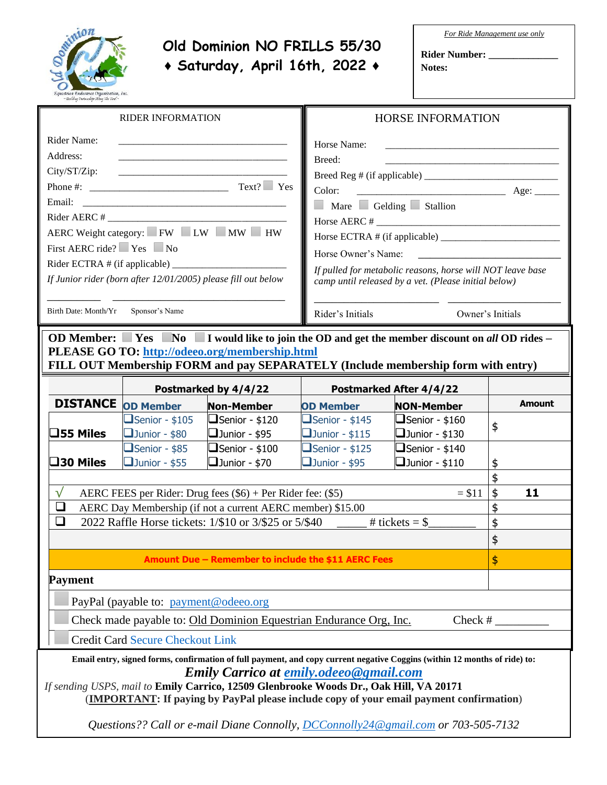

## **Old Dominion NO FRILLS 55/30 ♦ Saturday, April 16th, 2022 ♦**

*For Ride Management use only*

**Rider Number: \_\_\_\_\_\_\_\_\_\_\_\_\_\_ Notes:**

| <b>RIDER INFORMATION</b>                                                                                                                                                                                                                                                                                                                                        |                                                                       |                                                                        | <b>HORSE INFORMATION</b>                                                                                                                                                                                                                                                                             |                                                                         |               |  |
|-----------------------------------------------------------------------------------------------------------------------------------------------------------------------------------------------------------------------------------------------------------------------------------------------------------------------------------------------------------------|-----------------------------------------------------------------------|------------------------------------------------------------------------|------------------------------------------------------------------------------------------------------------------------------------------------------------------------------------------------------------------------------------------------------------------------------------------------------|-------------------------------------------------------------------------|---------------|--|
| Rider Name:<br>Address:<br>City/ST/Zip:<br>Email:<br>$Rider AERC \#$<br>AERC Weight category: FW LW MW HW<br>First AERC ride? $\Box$ Yes $\Box$ No<br>Rider ECTRA $#$ (if applicable) $\_$<br>If Junior rider (born after 12/01/2005) please fill out below<br>Birth Date: Month/Yr<br>Sponsor's Name                                                           |                                                                       |                                                                        | Horse Name:<br>Breed:<br>$\frac{1}{2}$ Age:<br>Color:<br>Mare Gelding Stallion<br>Horse ECTRA # (if applicable)<br>Horse Owner's Name:<br>If pulled for metabolic reasons, horse will NOT leave base<br>camp until released by a vet. (Please initial below)<br>Rider's Initials<br>Owner's Initials |                                                                         |               |  |
| OD Member: $\blacksquare$ Yes $\blacksquare$ No $\blacksquare$ I would like to join the OD and get the member discount on all OD rides –<br><b>PLEASE GO TO: http://odeeo.org/membership.html</b><br>FILL OUT Membership FORM and pay SEPARATELY (Include membership form with entry)                                                                           |                                                                       |                                                                        |                                                                                                                                                                                                                                                                                                      |                                                                         |               |  |
|                                                                                                                                                                                                                                                                                                                                                                 |                                                                       | Postmarked by 4/4/22<br><b>Postmarked After 4/4/22</b>                 |                                                                                                                                                                                                                                                                                                      |                                                                         |               |  |
| <b>DISTANCE</b>                                                                                                                                                                                                                                                                                                                                                 | <b>OD Member</b>                                                      | <b>Non-Member</b>                                                      | <b>OD Member</b>                                                                                                                                                                                                                                                                                     | <b>NON-Member</b>                                                       | <b>Amount</b> |  |
| $\square$ 55 Miles                                                                                                                                                                                                                                                                                                                                              | $\Box$ Senior - \$105<br>$\Box$ Junior - \$80<br>$\Box$ Senior - \$85 | $\Box$ Senior - \$120<br>$\Box$ Junior - \$95<br>$\Box$ Senior - \$100 | $\Box$ Senior - \$145<br>$\Box$ Junior - \$115<br>$\Box$ Senior - \$125                                                                                                                                                                                                                              | $\Box$ Senior - \$160<br>$\Box$ Junior - \$130<br>$\Box$ Senior - \$140 | \$            |  |
| $\square$ 30 Miles                                                                                                                                                                                                                                                                                                                                              | $\Box$ Junior - \$55                                                  | $\Box$ Junior - \$70                                                   | $\Box$ Junior - \$95                                                                                                                                                                                                                                                                                 | $\Box$ Junior - \$110                                                   | \$            |  |
| $\sqrt{}$<br>$= $11$                                                                                                                                                                                                                                                                                                                                            |                                                                       |                                                                        |                                                                                                                                                                                                                                                                                                      |                                                                         | \$<br>11      |  |
| AERC FEES per Rider: Drug fees $(\$6)$ + Per Rider fee: $(\$5)$<br>AERC Day Membership (if not a current AERC member) \$15.00<br>⊔                                                                                                                                                                                                                              |                                                                       |                                                                        |                                                                                                                                                                                                                                                                                                      |                                                                         |               |  |
| ❏                                                                                                                                                                                                                                                                                                                                                               |                                                                       | 2022 Raffle Horse tickets: 1/\$10 or 3/\$25 or 5/\$40                  |                                                                                                                                                                                                                                                                                                      | # tickets = $$$                                                         | \$            |  |
|                                                                                                                                                                                                                                                                                                                                                                 |                                                                       |                                                                        |                                                                                                                                                                                                                                                                                                      |                                                                         | \$            |  |
| Amount Due - Remember to include the \$11 AERC Fees                                                                                                                                                                                                                                                                                                             |                                                                       |                                                                        |                                                                                                                                                                                                                                                                                                      |                                                                         | $\frac{1}{2}$ |  |
| <b>Payment</b>                                                                                                                                                                                                                                                                                                                                                  |                                                                       |                                                                        |                                                                                                                                                                                                                                                                                                      |                                                                         |               |  |
| PayPal (payable to: payment@odeeo.org)                                                                                                                                                                                                                                                                                                                          |                                                                       |                                                                        |                                                                                                                                                                                                                                                                                                      |                                                                         |               |  |
| Check made payable to: Old Dominion Equestrian Endurance Org, Inc.<br>Check $#_$                                                                                                                                                                                                                                                                                |                                                                       |                                                                        |                                                                                                                                                                                                                                                                                                      |                                                                         |               |  |
| <b>Credit Card Secure Checkout Link</b>                                                                                                                                                                                                                                                                                                                         |                                                                       |                                                                        |                                                                                                                                                                                                                                                                                                      |                                                                         |               |  |
| Email entry, signed forms, confirmation of full payment, and copy current negative Coggins (within 12 months of ride) to:<br><b>Emily Carrico at emily.odeeo@gmail.com</b><br>If sending USPS, mail to Emily Carrico, 12509 Glenbrooke Woods Dr., Oak Hill, VA 20171<br>(IMPORTANT: If paying by PayPal please include copy of your email payment confirmation) |                                                                       |                                                                        |                                                                                                                                                                                                                                                                                                      |                                                                         |               |  |

*Questions?? Call or e-mail Diane Connolly, [DCConnolly24@gmail.com](mailto:DCConnolly24@gmail.com) or 703-505-7132*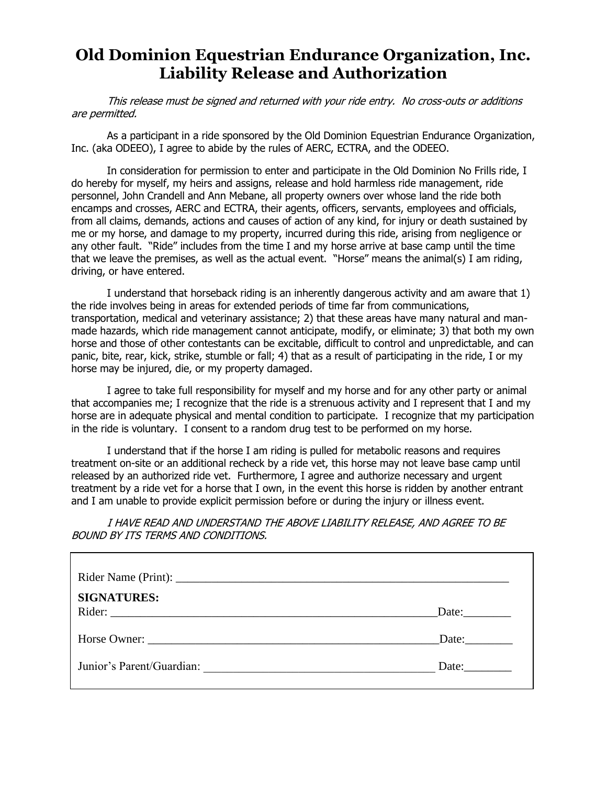## **Old Dominion Equestrian Endurance Organization, Inc. Liability Release and Authorization**

This release must be signed and returned with your ride entry. No cross-outs or additions are permitted.

As a participant in a ride sponsored by the Old Dominion Equestrian Endurance Organization, Inc. (aka ODEEO), I agree to abide by the rules of AERC, ECTRA, and the ODEEO.

In consideration for permission to enter and participate in the Old Dominion No Frills ride, I do hereby for myself, my heirs and assigns, release and hold harmless ride management, ride personnel, John Crandell and Ann Mebane, all property owners over whose land the ride both encamps and crosses, AERC and ECTRA, their agents, officers, servants, employees and officials, from all claims, demands, actions and causes of action of any kind, for injury or death sustained by me or my horse, and damage to my property, incurred during this ride, arising from negligence or any other fault. "Ride" includes from the time I and my horse arrive at base camp until the time that we leave the premises, as well as the actual event. "Horse" means the animal(s) I am riding, driving, or have entered.

I understand that horseback riding is an inherently dangerous activity and am aware that 1) the ride involves being in areas for extended periods of time far from communications, transportation, medical and veterinary assistance; 2) that these areas have many natural and manmade hazards, which ride management cannot anticipate, modify, or eliminate; 3) that both my own horse and those of other contestants can be excitable, difficult to control and unpredictable, and can panic, bite, rear, kick, strike, stumble or fall; 4) that as a result of participating in the ride, I or my horse may be injured, die, or my property damaged.

I agree to take full responsibility for myself and my horse and for any other party or animal that accompanies me; I recognize that the ride is a strenuous activity and I represent that I and my horse are in adequate physical and mental condition to participate. I recognize that my participation in the ride is voluntary. I consent to a random drug test to be performed on my horse.

I understand that if the horse I am riding is pulled for metabolic reasons and requires treatment on-site or an additional recheck by a ride vet, this horse may not leave base camp until released by an authorized ride vet. Furthermore, I agree and authorize necessary and urgent treatment by a ride vet for a horse that I own, in the event this horse is ridden by another entrant and I am unable to provide explicit permission before or during the injury or illness event.

I HAVE READ AND UNDERSTAND THE ABOVE LIABILITY RELEASE, AND AGREE TO BE BOUND BY ITS TERMS AND CONDITIONS.

| <b>SIGNATURES:</b><br>Rider: | Date: |
|------------------------------|-------|
|                              | Date: |
| Junior's Parent/Guardian:    | Date: |